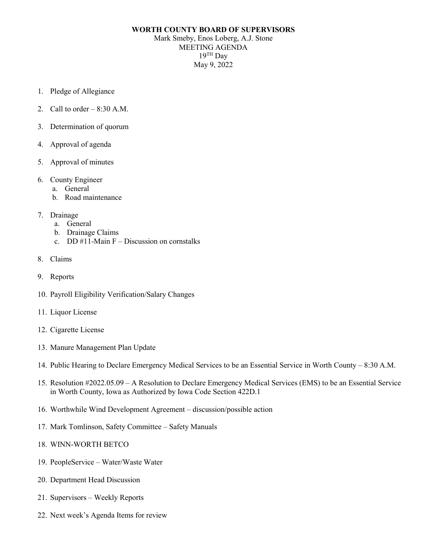## **WORTH COUNTY BOARD OF SUPERVISORS**

Mark Smeby, Enos Loberg, A.J. Stone MEETING AGENDA  $19$ <sup>TH</sup> Dav May 9, 2022

- 1. Pledge of Allegiance
- 2. Call to order  $-8:30$  A.M.
- 3. Determination of quorum
- 4. Approval of agenda
- 5. Approval of minutes
- 6. County Engineer
	- a. General
	- b. Road maintenance
- 7. Drainage
	- a. General
	- b. Drainage Claims
	- c. DD  $#11$ -Main F Discussion on cornstalks
- 8. Claims
- 9. Reports
- 10. Payroll Eligibility Verification/Salary Changes
- 11. Liquor License
- 12. Cigarette License
- 13. Manure Management Plan Update
- 14. Public Hearing to Declare Emergency Medical Services to be an Essential Service in Worth County 8:30 A.M.
- 15. Resolution #2022.05.09 A Resolution to Declare Emergency Medical Services (EMS) to be an Essential Service in Worth County, Iowa as Authorized by Iowa Code Section 422D.1
- 16. Worthwhile Wind Development Agreement discussion/possible action
- 17. Mark Tomlinson, Safety Committee Safety Manuals
- 18. WINN-WORTH BETCO
- 19. PeopleService Water/Waste Water
- 20. Department Head Discussion
- 21. Supervisors Weekly Reports
- 22. Next week's Agenda Items for review